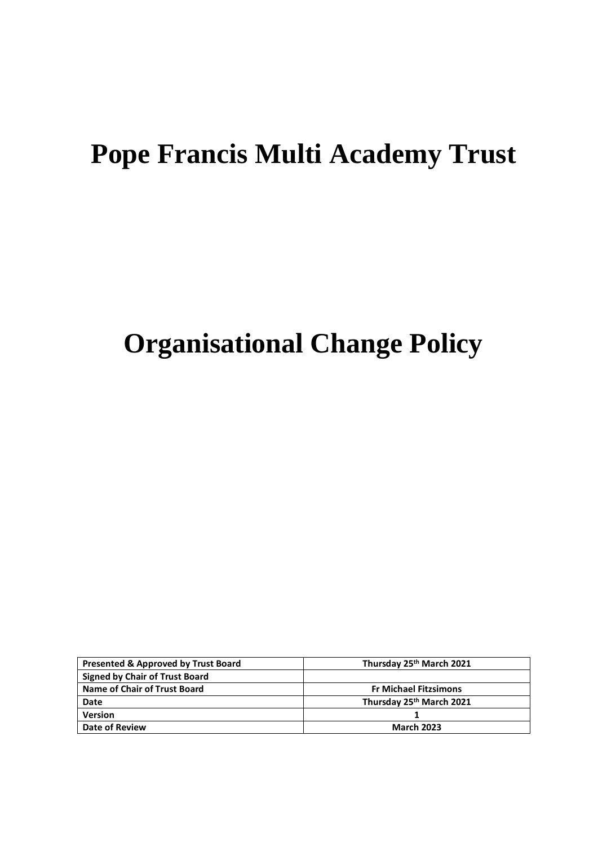## **Pope Francis Multi Academy Trust**

# **Organisational Change Policy**

| <b>Presented &amp; Approved by Trust Board</b> | Thursday 25th March 2021     |
|------------------------------------------------|------------------------------|
| <b>Signed by Chair of Trust Board</b>          |                              |
| Name of Chair of Trust Board                   | <b>Fr Michael Fitzsimons</b> |
| Date                                           | Thursday 25th March 2021     |
| Version                                        |                              |
| Date of Review                                 | <b>March 2023</b>            |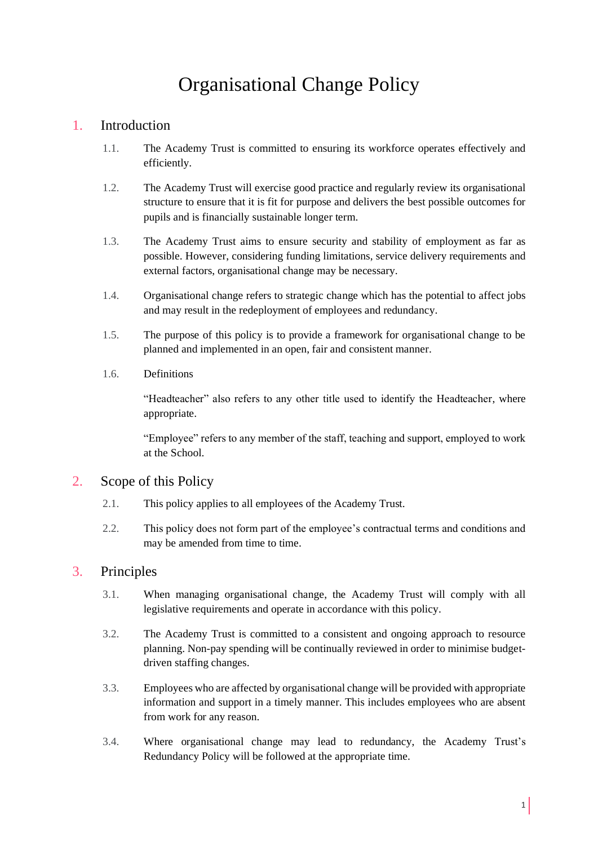### Organisational Change Policy

#### 1. Introduction

- 1.1. The Academy Trust is committed to ensuring its workforce operates effectively and efficiently.
- 1.2. The Academy Trust will exercise good practice and regularly review its organisational structure to ensure that it is fit for purpose and delivers the best possible outcomes for pupils and is financially sustainable longer term.
- 1.3. The Academy Trust aims to ensure security and stability of employment as far as possible. However, considering funding limitations, service delivery requirements and external factors, organisational change may be necessary.
- 1.4. Organisational change refers to strategic change which has the potential to affect jobs and may result in the redeployment of employees and redundancy.
- 1.5. The purpose of this policy is to provide a framework for organisational change to be planned and implemented in an open, fair and consistent manner.
- 1.6. Definitions

"Headteacher" also refers to any other title used to identify the Headteacher, where appropriate.

"Employee" refers to any member of the staff, teaching and support, employed to work at the School.

#### 2. Scope of this Policy

- 2.1. This policy applies to all employees of the Academy Trust.
- 2.2. This policy does not form part of the employee's contractual terms and conditions and may be amended from time to time.

#### 3. Principles

- 3.1. When managing organisational change, the Academy Trust will comply with all legislative requirements and operate in accordance with this policy.
- 3.2. The Academy Trust is committed to a consistent and ongoing approach to resource planning. Non-pay spending will be continually reviewed in order to minimise budgetdriven staffing changes.
- 3.3. Employees who are affected by organisational change will be provided with appropriate information and support in a timely manner. This includes employees who are absent from work for any reason.
- 3.4. Where organisational change may lead to redundancy, the Academy Trust's Redundancy Policy will be followed at the appropriate time.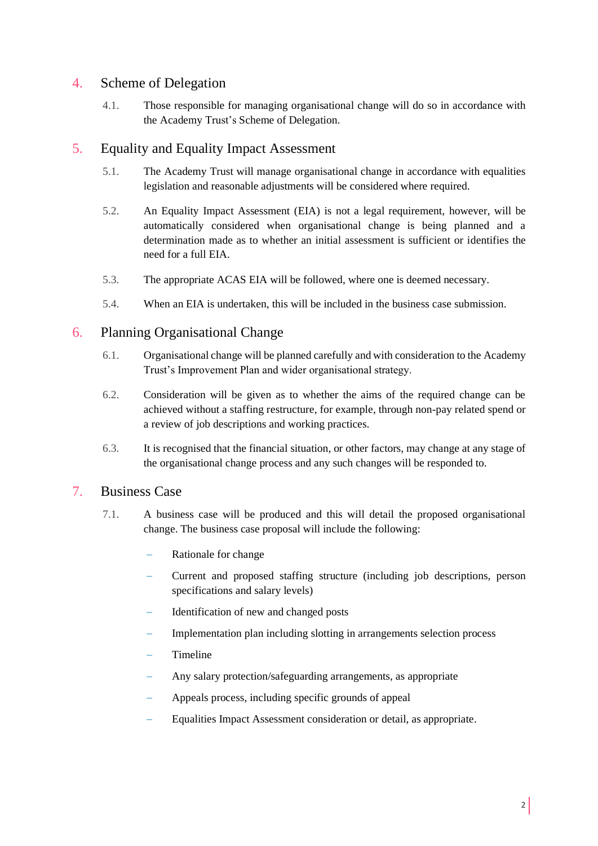#### 4. Scheme of Delegation

4.1. Those responsible for managing organisational change will do so in accordance with the Academy Trust's Scheme of Delegation.

#### 5. Equality and Equality Impact Assessment

- 5.1. The Academy Trust will manage organisational change in accordance with equalities legislation and reasonable adjustments will be considered where required.
- 5.2. An Equality Impact Assessment (EIA) is not a legal requirement, however, will be automatically considered when organisational change is being planned and a determination made as to whether an initial assessment is sufficient or identifies the need for a full EIA.
- 5.3. The appropriate ACAS EIA will be followed, where one is deemed necessary.
- 5.4. When an EIA is undertaken, this will be included in the business case submission.

#### 6. Planning Organisational Change

- 6.1. Organisational change will be planned carefully and with consideration to the Academy Trust's Improvement Plan and wider organisational strategy.
- 6.2. Consideration will be given as to whether the aims of the required change can be achieved without a staffing restructure, for example, through non-pay related spend or a review of job descriptions and working practices.
- 6.3. It is recognised that the financial situation, or other factors, may change at any stage of the organisational change process and any such changes will be responded to.

#### 7. Business Case

- 7.1. A business case will be produced and this will detail the proposed organisational change. The business case proposal will include the following:
	- Rationale for change
	- − Current and proposed staffing structure (including job descriptions, person specifications and salary levels)
	- Identification of new and changed posts
	- Implementation plan including slotting in arrangements selection process
	- − Timeline
	- Any salary protection/safeguarding arrangements, as appropriate
	- − Appeals process, including specific grounds of appeal
	- Equalities Impact Assessment consideration or detail, as appropriate.